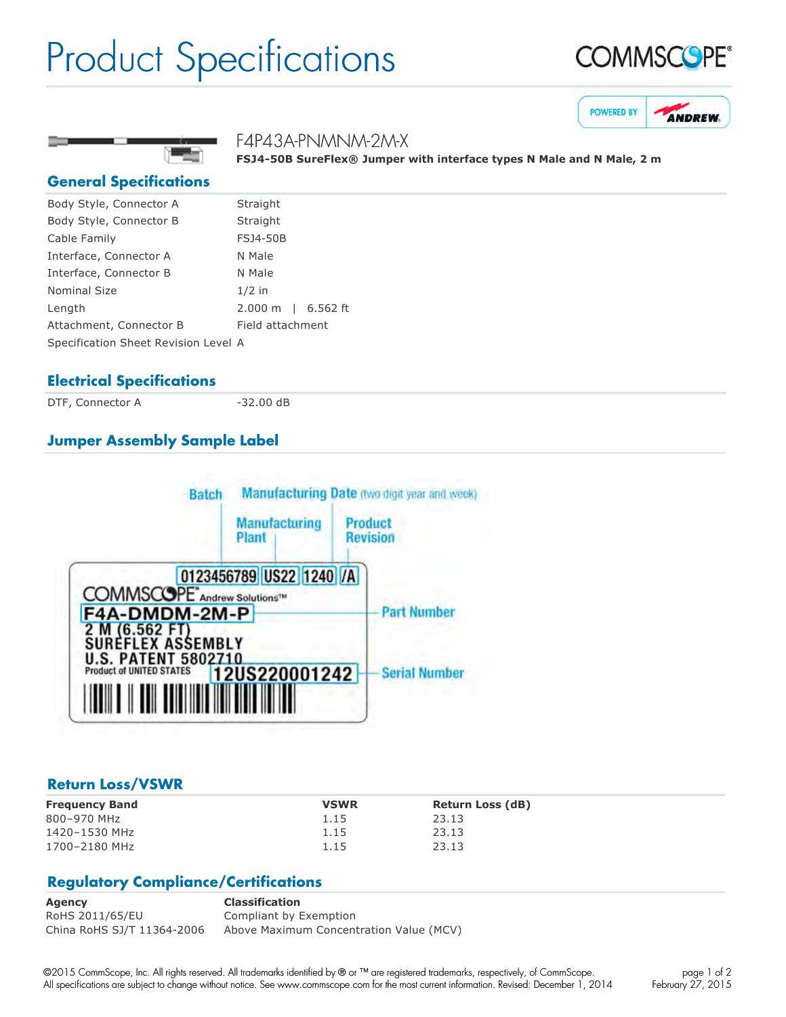## Product Specifications







**FSJ450B SureFlex® Jumper with interface types N Male and N Male, 2 m**

#### **General Specifications**

| Body Style, Connector A              | Straight           |
|--------------------------------------|--------------------|
| Body Style, Connector B              | Straight           |
| Cable Family                         | <b>FSJ4-50B</b>    |
| Interface, Connector A               | N Male             |
| Interface, Connector B               | N Male             |
| <b>Nominal Size</b>                  | $1/2$ in           |
| Length                               | 2.000 m   6.562 ft |
| Attachment, Connector B              | Field attachment   |
| Specification Sheet Revision Level A |                    |

F4P43A-PNMNM-2M-X

#### **Electrical Specifications**

DTF, Connector A 32.00 dB

### **Jumper Assembly Sample Label**



#### **Return Loss/VSWR**

| <b>Frequency Band</b> | <b>VSWR</b> | <b>Return Loss (dB)</b> |
|-----------------------|-------------|-------------------------|
| 800-970 MHz           | 1.15        | 23.13                   |
| 1420-1530 MHz         | 1.15        | 23.13                   |
| 1700-2180 MHz         | 1.15        | 23.13                   |

#### **Regulatory Compliance/Certifications**

**Agency Classification** RoHS 2011/65/EU Compliant by Exemption China RoHS SJ/T 11364-2006 Above Maximum Concentration Value (MCV)

©2015 CommScope, Inc. All rights reserved. All trademarks identified by ® or ™ are registered trademarks, respectively, of CommScope. All specifications are subject to change without notice. See www.commscope.com for the most current information. Revised: December 1, 2014